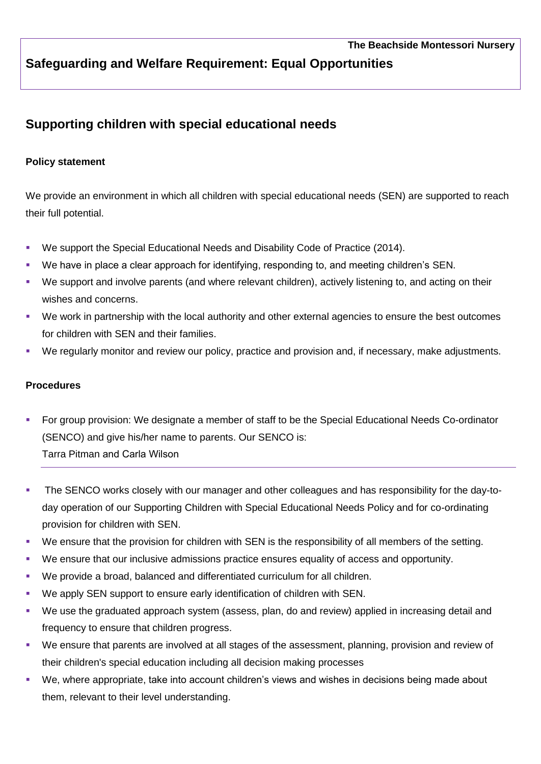## **Safeguarding and Welfare Requirement: Equal Opportunities**

## **Supporting children with special educational needs**

## **Policy statement**

We provide an environment in which all children with special educational needs (SEN) are supported to reach their full potential.

- We support the Special Educational Needs and Disability Code of Practice (2014).
- We have in place a clear approach for identifying, responding to, and meeting children's SEN.
- We support and involve parents (and where relevant children), actively listening to, and acting on their wishes and concerns.
- We work in partnership with the local authority and other external agencies to ensure the best outcomes for children with SEN and their families.
- We regularly monitor and review our policy, practice and provision and, if necessary, make adjustments.

## **Procedures**

- § For group provision: We designate a member of staff to be the Special Educational Needs Co-ordinator (SENCO) and give his/her name to parents. Our SENCO is: Tarra Pitman and Carla Wilson
- The SENCO works closely with our manager and other colleagues and has responsibility for the day-today operation of our Supporting Children with Special Educational Needs Policy and for co-ordinating provision for children with SEN.
- We ensure that the provision for children with SEN is the responsibility of all members of the setting.
- We ensure that our inclusive admissions practice ensures equality of access and opportunity.
- We provide a broad, balanced and differentiated curriculum for all children.
- We apply SEN support to ensure early identification of children with SEN.
- We use the graduated approach system (assess, plan, do and review) applied in increasing detail and frequency to ensure that children progress.
- We ensure that parents are involved at all stages of the assessment, planning, provision and review of their children's special education including all decision making processes
- We, where appropriate, take into account children's views and wishes in decisions being made about them, relevant to their level understanding.